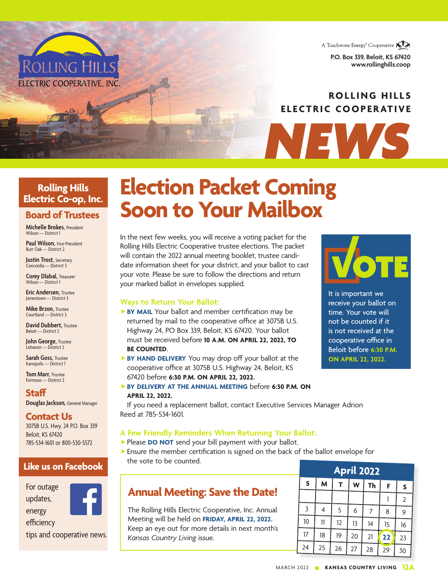

**P.O. Box 339, Beloit, KS 67420 www.rollinghills.coop**

### **ROLLING HILLS ELECTRIC COOPERATIVE**

*NEWS*

### **Rolling Hills Electric Co-op, Inc.**

**ROLLING HILLS** 

ELECTRIC COOPERATIVE, INC

### **Board of Trustees**

**Michelle Brokes,** President Wilson — District 1

**Paul Wilson,** Vice-President Burr Oak — District 2

**Justin Trost,** Secretary Concordia — District 3

**Corey Dlabal,** Treasurer Wilson — District 1

**Eric Andersen,** Trustee Jamestown — District 3

**Mike Brzon, Trustee** Courtland — District 3

**David Dubbert**, Trustee Beloit — District 2

**John George,** Trustee Lebanon — District 2

**Sarah Goss,** Trustee Kanopolis — District 1

**Tom Marr, Trustee** Formoso — District 2

**Staff Douglas Jackson,** General Manager

**Contact Us**

3075B U.S. Hwy. 24 P.O. Box 339 Beloit, KS 67420 785-534-1601 or 800-530-5572

### **Like us on Facebook**

For outage

efficiency



tips and cooperative news.

# **Election Packet Coming Soon to Your Mailbox**

In the next few weeks, you will receive a voting packet for the Rolling Hills Electric Cooperative trustee elections. The packet will contain the 2022 annual meeting booklet, trustee candidate information sheet for your district, and your ballot to cast your vote. Please be sure to follow the directions and return your marked ballot in envelopes supplied.

### **Ways to Return Your Ballot:**

- **BY MAIL** Your ballot and member certification may be returned by mail to the cooperative office at 3075B U.S. Highway 24, PO Box 339, Beloit, KS 67420. Your ballot must be received before **10 A.M. ON APRIL 22, 2022, TO BE COUNTED**.
- **BY HAND DELIVERY** You may drop off your ballot at the cooperative office at 3075B U.S. Highway 24, Beloit, KS 67420 before **6:30 P.M. ON APRIL 22, 2022.**
- **BY DELIVERY AT THE ANNUAL MEETING** before 6:30 P.M. ON **APRIL 22, 2022.**

If you need a replacement ballot, contact Executive Services Manager Adrion Reed at 785-534-1601.

### **A Few Friendly Reminders When Returning Your Ballot:**

- Please **DO NOT** send your bill payment with your ballot.
- $\blacktriangleright$  Ensure the member certification is signed on the back of the ballot envelope for the vote to be counted.

### **Annual Meeting: Save the Date!**

The Rolling Hills Electric Cooperative, Inc. Annual Meeting will be held on **FRIDAY, APRIL 22, 2022.**  Keep an eye out for more details in next month's *Kansas Country Living* issue.

| <b>April 2022</b> |                |    |    |                |                 |                |  |
|-------------------|----------------|----|----|----------------|-----------------|----------------|--|
| $\sf S$           | M              | т  | W  | <b>Th</b>      | F               | S              |  |
|                   |                |    |    |                |                 | $\overline{2}$ |  |
| 3                 | $\overline{4}$ | 5  | 6  | $\overline{7}$ | 8               | 9              |  |
| 10                | 11             | 12 | 13 | 14             | 15              | 16             |  |
| 17                | 18             | 19 | 20 | 21             | $\overline{22}$ | 23             |  |
| 24                | 25             | 26 | 27 | 28             | 29              | 30             |  |



It is important we receive your ballot on time. Your vote will not be counted if it is not received at the cooperative office in Beloit before **6:30 P.M. ON APRIL 22, 2022.**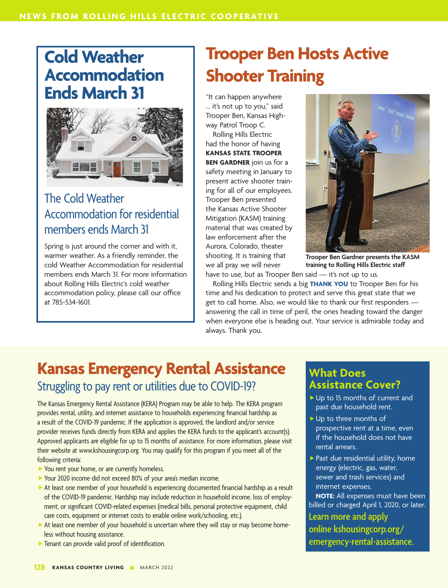## **Cold Weather Accommodation Ends March 31**



### The Cold Weather Accommodation for residential members ends March 31

Spring is just around the corner and with it, warmer weather. As a friendly reminder, the cold Weather Accommodation for residential members ends March 31. For more information about Rolling Hills Electric's cold weather accommodation policy, please call our office at 785-534-1601.

# **Trooper Ben Hosts Active Shooter Training**

"It can happen anywhere … it's not up to you," said Trooper Ben, Kansas Highway Patrol Troop C.

Rolling Hills Electric had the honor of having **KANSAS STATE TROOPER BEN GARDNER** join us for a safety meeting in January to present active shooter training for all of our employees. Trooper Ben presented the Kansas Active Shooter Mitigation (KASM) training material that was created by law enforcement after the Aurora, Colorado, theater shooting. It is training that we all pray we will never



**Trooper Ben Gardner presents the KASM training to Rolling Hills Electric staff**

have to use, but as Trooper Ben said — it's not up to us.

Rolling Hills Electric sends a big **THANK YOU** to Trooper Ben for his time and his dedication to protect and serve this great state that we get to call home. Also, we would like to thank our first responders answering the call in time of peril, the ones heading toward the danger when everyone else is heading out. Your service is admirable today and always. Thank you.

## **Kansas Emergency Rental Assistance** Struggling to pay rent or utilities due to COVID-19?

The Kansas Emergency Rental Assistance (KERA) Program may be able to help. The KERA program provides rental, utility, and internet assistance to households experiencing financial hardship as a result of the COVID-19 pandemic. If the application is approved, the landlord and/or service provider receives funds directly from KERA and applies the KERA funds to the applicant's account(s). Approved applicants are eligible for up to 15 months of assistance. For more information, please visit their website at www.kshousingcorp.org. You may qualify for this program if you meet all of the following criteria:

- $\blacktriangleright$  You rent your home, or are currently homeless.
- ▶ Your 2020 income did not exceed 80% of your area's median income.
- $\triangleright$  At least one member of your household is experiencing documented financial hardship as a result of the COVID-19 pandemic. Hardship may include reduction in household income, loss of employment, or significant COVID-related expenses (medical bills, personal protective equipment, child care costs, equipment or internet costs to enable online work/schooling, etc.).
- $\triangleright$  At least one member of your household is uncertain where they will stay or may become homeless without housing assistance.
- $\blacktriangleright$  Tenant can provide valid proof of identification.

### **What Does Assistance Cover?**

- ▶ Up to 15 months of current and past due household rent.
- $\blacktriangleright$  Up to three months of prospective rent at a time, even if the household does not have rental arrears.
- $\blacktriangleright$  Past due residential utility, home energy (electric, gas, water, sewer and trash services) and internet expenses.

**NOTE:** All expenses must have been billed or charged April 1, 2020, or later.

**Learn more and apply online kshousingcorp.org/ emergency-rental-assistance.**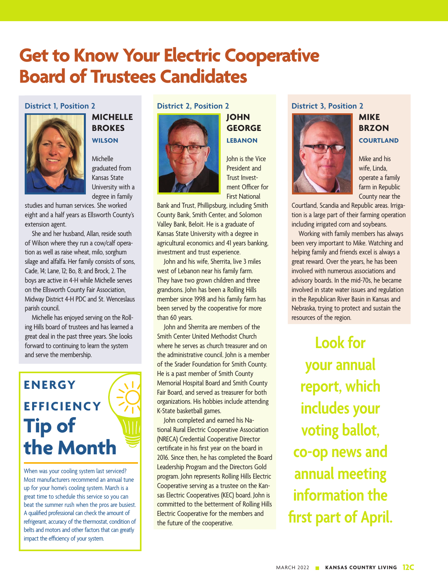# **Get to Know Your Electric Cooperative Board of Trustees Candidates**

#### **District 1, Position 2**



### **MICHELLE BROKES WILSON**

Michelle graduated from Kansas State University with a degree in family

studies and human services. She worked eight and a half years as Ellsworth County's extension agent.

She and her husband, Allan, reside south of Wilson where they run a cow/calf operation as well as raise wheat, milo, sorghum silage and alfalfa. Her family consists of sons, Cade, 14; Lane, 12; Bo, 8; and Brock, 2. The boys are active in 4-H while Michelle serves on the Ellsworth County Fair Association, Midway District 4-H PDC and St. Wenceslaus parish council.

Michelle has enjoyed serving on the Rolling Hills board of trustees and has learned a great deal in the past three years. She looks forward to continuing to learn the system and serve the membership.



When was your cooling system last serviced? Most manufacturers recommend an annual tune up for your home's cooling system. March is a great time to schedule this service so you can beat the summer rush when the pros are busiest. A qualified professional can check the amount of refrigerant, accuracy of the thermostat, condition of belts and motors and other factors that can greatly impact the efficiency of your system.

#### **District 2, Position 2**



John is the Vice President and

**JOHN GEORGE LEBANON**

Trust Investment Officer for First National

Bank and Trust, Phillipsburg, including Smith County Bank, Smith Center, and Solomon Valley Bank, Beloit. He is a graduate of Kansas State University with a degree in agricultural economics and 41 years banking, investment and trust experience.

John and his wife, Sherrita, live 3 miles west of Lebanon near his family farm. They have two grown children and three grandsons. John has been a Rolling Hills member since 1998 and his family farm has been served by the cooperative for more than 60 years.

John and Sherrita are members of the Smith Center United Methodist Church where he serves as church treasurer and on the administrative council. John is a member of the Srader Foundation for Smith County. He is a past member of Smith County Memorial Hospital Board and Smith County Fair Board, and served as treasurer for both organizations. His hobbies include attending K-State basketball games.

John completed and earned his National Rural Electric Cooperative Association (NRECA) Credential Cooperative Director certificate in his first year on the board in 2016. Since then, he has completed the Board Leadership Program and the Directors Gold program. John represents Rolling Hills Electric Cooperative serving as a trustee on the Kansas Electric Cooperatives (KEC) board. John is committed to the betterment of Rolling Hills Electric Cooperative for the members and the future of the cooperative.

### **District 3, Position 2**



### **MIKE BRZON COURTLAND**

Mike and his wife, Linda, operate a family farm in Republic County near the

Courtland, Scandia and Republic areas. Irrigation is a large part of their farming operation including irrigated corn and soybeans.

Working with family members has always been very important to Mike. Watching and helping family and friends excel is always a great reward. Over the years, he has been involved with numerous associations and advisory boards. In the mid-70s, he became involved in state water issues and regulation in the Republican River Basin in Kansas and Nebraska, trying to protect and sustain the resources of the region.

**Look for your annual report, which includes your voting ballot, co-op news and annual meeting information the first part of April.**